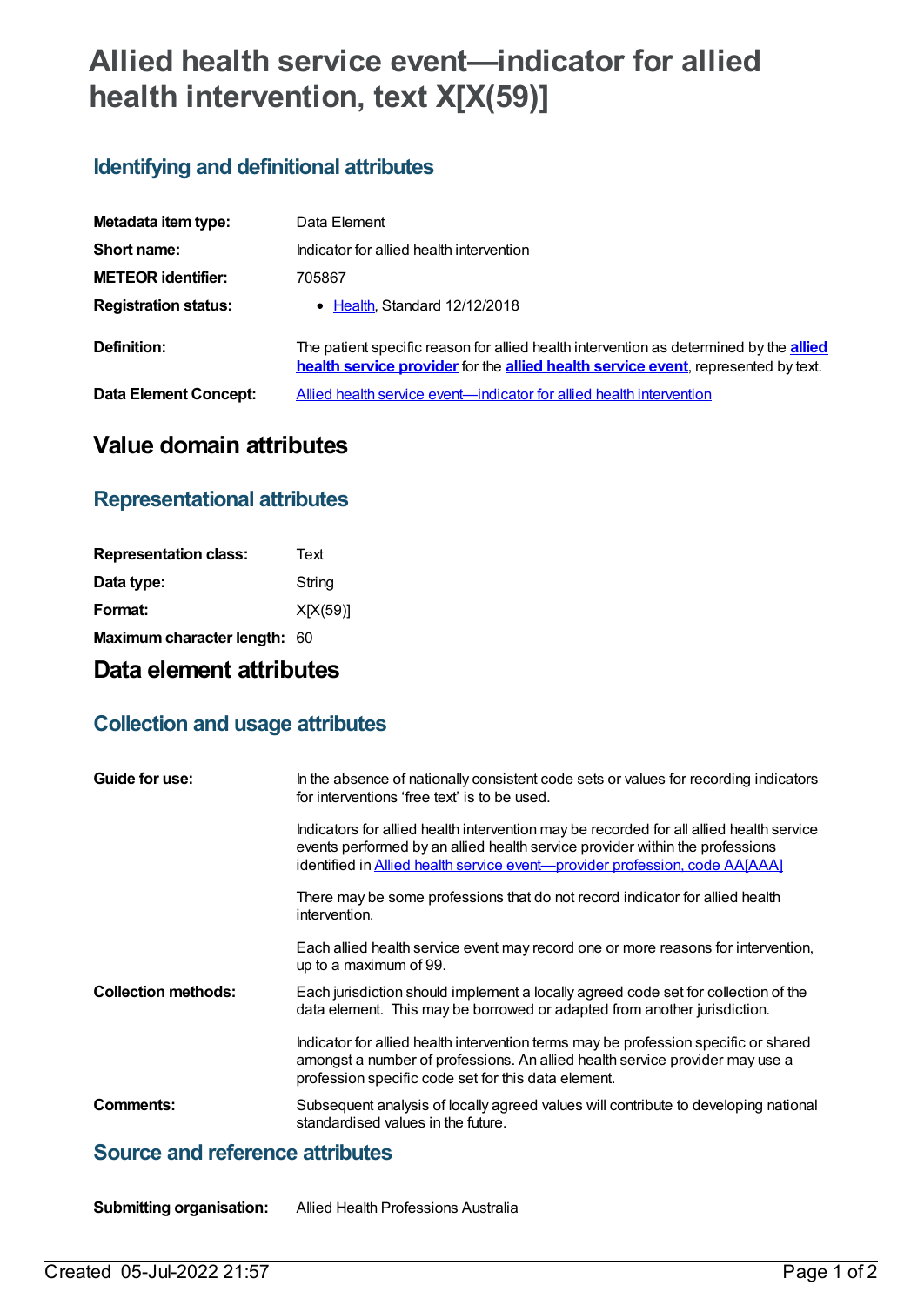# **Allied health service event—indicator for allied health intervention, text X[X(59)]**

## **Identifying and definitional attributes**

| Metadata item type:          | Data Element                                                                                                                                                                       |
|------------------------------|------------------------------------------------------------------------------------------------------------------------------------------------------------------------------------|
| Short name:                  | Indicator for allied health intervention                                                                                                                                           |
| <b>METEOR identifier:</b>    | 705867                                                                                                                                                                             |
| <b>Registration status:</b>  | • Health, Standard 12/12/2018                                                                                                                                                      |
| Definition:                  | The patient specific reason for allied health intervention as determined by the <b>allied</b><br>health service provider for the allied health service event, represented by text. |
| <b>Data Element Concept:</b> | Allied health service event—indicator for allied health intervention                                                                                                               |

# **Value domain attributes**

#### **Representational attributes**

| X[X(59)] |
|----------|
|          |
|          |

## **Data element attributes**

#### **Collection and usage attributes**

| Guide for use:             | In the absence of nationally consistent code sets or values for recording indicators<br>for interventions 'free text' is to be used.                                                                                                                           |
|----------------------------|----------------------------------------------------------------------------------------------------------------------------------------------------------------------------------------------------------------------------------------------------------------|
|                            | Indicators for allied health intervention may be recorded for all allied health service<br>events performed by an allied health service provider within the professions<br>identified in <b>Allied health service event—provider profession</b> , code AA[AAA] |
|                            | There may be some professions that do not record indicator for allied health<br>intervention.                                                                                                                                                                  |
|                            | Each allied health service event may record one or more reasons for intervention,<br>up to a maximum of 99.                                                                                                                                                    |
| <b>Collection methods:</b> | Each jurisdiction should implement a locally agreed code set for collection of the<br>data element. This may be borrowed or adapted from another jurisdiction.                                                                                                 |
|                            | Indicator for allied health intervention terms may be profession specific or shared<br>amongst a number of professions. An allied health service provider may use a<br>profession specific code set for this data element.                                     |
| Comments:                  | Subsequent analysis of locally agreed values will contribute to developing national<br>standardised values in the future.                                                                                                                                      |

#### **Source and reference attributes**

**Submitting organisation:** Allied Health Professions Australia